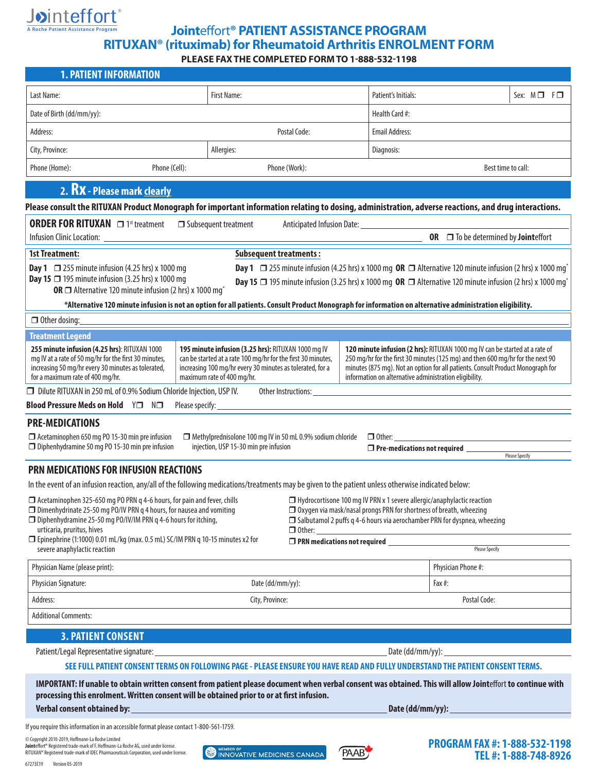

# **Joint**effort**® PATIENT ASSISTANCE PROGRAM RITUXAN® (rituximab) for Rheumatoid Arthritis ENROLMENT FORM**

**PLEASE FAX THE COMPLETED FORM TO 1-888-532-1198**

| <b>1. PATIENT INFORMATION</b>                                                                                                                                                                                                                                                                                                                                                                                                                                                                                                                                                                                                                                                                                                  |                                                       |               |                                            |                                                              |
|--------------------------------------------------------------------------------------------------------------------------------------------------------------------------------------------------------------------------------------------------------------------------------------------------------------------------------------------------------------------------------------------------------------------------------------------------------------------------------------------------------------------------------------------------------------------------------------------------------------------------------------------------------------------------------------------------------------------------------|-------------------------------------------------------|---------------|--------------------------------------------|--------------------------------------------------------------|
| Last Name:                                                                                                                                                                                                                                                                                                                                                                                                                                                                                                                                                                                                                                                                                                                     | First Name:                                           |               | Patient's Initials:                        | Sex: $M \Box$ $F \Box$                                       |
| Date of Birth (dd/mm/yy):                                                                                                                                                                                                                                                                                                                                                                                                                                                                                                                                                                                                                                                                                                      |                                                       |               | Health Card #:                             |                                                              |
| Address:<br>Postal Code:                                                                                                                                                                                                                                                                                                                                                                                                                                                                                                                                                                                                                                                                                                       |                                                       |               | <b>Email Address:</b>                      |                                                              |
| City, Province:<br>Allergies:                                                                                                                                                                                                                                                                                                                                                                                                                                                                                                                                                                                                                                                                                                  |                                                       |               | Diagnosis:                                 |                                                              |
| Phone (Home):<br>Phone (Cell):                                                                                                                                                                                                                                                                                                                                                                                                                                                                                                                                                                                                                                                                                                 |                                                       | Phone (Work): |                                            | Best time to call:                                           |
|                                                                                                                                                                                                                                                                                                                                                                                                                                                                                                                                                                                                                                                                                                                                |                                                       |               |                                            |                                                              |
| 2. RX - Please mark clearly<br>Please consult the RITUXAN Product Monograph for important information relating to dosing, administration, adverse reactions, and drug interactions.                                                                                                                                                                                                                                                                                                                                                                                                                                                                                                                                            |                                                       |               |                                            |                                                              |
| <b>ORDER FOR RITUXAN</b> □ 1st treatment<br>$\Box$ Subsequent treatment                                                                                                                                                                                                                                                                                                                                                                                                                                                                                                                                                                                                                                                        |                                                       |               |                                            |                                                              |
| OR □ To be determined by Jointeffort                                                                                                                                                                                                                                                                                                                                                                                                                                                                                                                                                                                                                                                                                           |                                                       |               |                                            |                                                              |
| <b>1st Treatment:</b><br><b>Subsequent treatments:</b>                                                                                                                                                                                                                                                                                                                                                                                                                                                                                                                                                                                                                                                                         |                                                       |               |                                            |                                                              |
| <b>Day 1</b> $\Box$ 255 minute infusion (4.25 hrs) x 1000 mg OR $\Box$ Alternative 120 minute infusion (2 hrs) x 1000 mg <sup>*</sup><br><b>Day 1</b> $\Box$ 255 minute infusion (4.25 hrs) x 1000 mg<br><b>Day 15 <math>\Box</math></b> 195 minute infusion (3.25 hrs) x 1000 mg<br>Day 15 □ 195 minute infusion (3.25 hrs) x 1000 mg OR □ Alternative 120 minute infusion (2 hrs) x 1000 mg <sup>*</sup><br>OR □ Alternative 120 minute infusion (2 hrs) x 1000 mg <sup>*</sup>                                                                                                                                                                                                                                              |                                                       |               |                                            |                                                              |
| *Alternative 120 minute infusion is not an option for all patients. Consult Product Monograph for information on alternative administration eligibility.                                                                                                                                                                                                                                                                                                                                                                                                                                                                                                                                                                       |                                                       |               |                                            |                                                              |
| $\Box$ Other dosing:                                                                                                                                                                                                                                                                                                                                                                                                                                                                                                                                                                                                                                                                                                           |                                                       |               |                                            |                                                              |
| <b>Treatment Legend</b>                                                                                                                                                                                                                                                                                                                                                                                                                                                                                                                                                                                                                                                                                                        |                                                       |               |                                            |                                                              |
| 255 minute infusion (4.25 hrs): RITUXAN 1000<br>195 minute infusion (3.25 hrs): RITUXAN 1000 mg IV<br>120 minute infusion (2 hrs): RITUXAN 1000 mg IV can be started at a rate of<br>250 mg/hr for the first 30 minutes (125 mg) and then 600 mg/hr for the next 90<br>can be started at a rate 100 mg/hr for the first 30 minutes,<br>mg IV at a rate of 50 mg/hr for the first 30 minutes,<br>increasing 50 mg/hr every 30 minutes as tolerated,<br>increasing 100 mg/hr every 30 minutes as tolerated, for a<br>minutes (875 mg). Not an option for all patients. Consult Product Monograph for<br>for a maximum rate of 400 mg/hr.<br>information on alternative administration eligibility.<br>maximum rate of 400 mg/hr. |                                                       |               |                                            |                                                              |
| □ Dilute RITUXAN in 250 mL of 0.9% Sodium Chloride Injection, USP IV.<br>Other Instructions: ______                                                                                                                                                                                                                                                                                                                                                                                                                                                                                                                                                                                                                            |                                                       |               |                                            |                                                              |
| <b>Blood Pressure Meds on Hold</b> Y□ N□<br>Please specify:                                                                                                                                                                                                                                                                                                                                                                                                                                                                                                                                                                                                                                                                    |                                                       |               |                                            |                                                              |
| <b>PRE-MEDICATIONS</b><br>$\Box$ Acetaminophen 650 mg PO 15-30 min pre infusion<br>$\Box$ Methylprednisolone 100 mg IV in 50 mL 0.9% sodium chloride $\Box$ Other:<br>$\Box$ Diphenhydramine 50 mg PO 15-30 min pre infusion<br>injection, USP 15-30 min pre infusion<br>□ Pre-medications not required _______<br><b>Please Specify</b>                                                                                                                                                                                                                                                                                                                                                                                       |                                                       |               |                                            |                                                              |
| <b>PRN MEDICATIONS FOR INFUSION REACTIONS</b>                                                                                                                                                                                                                                                                                                                                                                                                                                                                                                                                                                                                                                                                                  |                                                       |               |                                            |                                                              |
| In the event of an infusion reaction, any/all of the following medications/treatments may be given to the patient unless otherwise indicated below:                                                                                                                                                                                                                                                                                                                                                                                                                                                                                                                                                                            |                                                       |               |                                            |                                                              |
| □ Acetaminophen 325-650 mg PO PRN q 4-6 hours, for pain and fever, chills<br>$\Box$ Hydrocortisone 100 mg IV PRN x 1 severe allergic/anaphylactic reaction<br>□ Oxygen via mask/nasal prongs PRN for shortness of breath, wheezing<br>$\Box$ Dimenhydrinate 25-50 mg PO/IV PRN q 4 hours, for nausea and vomiting<br>□ Diphenhydramine 25-50 mg PO/IV/IM PRN q 4-6 hours for itching,<br>□ Salbutamol 2 puffs q 4-6 hours via aerochamber PRN for dyspnea, wheezing<br>urticaria, pruritus, hives<br>$\Box$ Other: $\_\_\_\_\_\_\_\_\_\_\_\_\_\_\_\_\_\_\_\_$                                                                                                                                                                  |                                                       |               |                                            |                                                              |
| □ Epinephrine (1:1000) 0.01 mL/kg (max. 0.5 mL) SC/IM PRN q 10-15 minutes x2 for<br>severe anaphylactic reaction                                                                                                                                                                                                                                                                                                                                                                                                                                                                                                                                                                                                               |                                                       |               | $\Box$ PRN medications not required $\Box$ | <b>Please Specify</b>                                        |
| Physician Name (please print):                                                                                                                                                                                                                                                                                                                                                                                                                                                                                                                                                                                                                                                                                                 |                                                       |               |                                            | Physician Phone #:                                           |
| Physician Signature:                                                                                                                                                                                                                                                                                                                                                                                                                                                                                                                                                                                                                                                                                                           | Date (dd/mm/yy):                                      |               | Fax #:                                     |                                                              |
| City, Province:<br>Address:                                                                                                                                                                                                                                                                                                                                                                                                                                                                                                                                                                                                                                                                                                    |                                                       | Postal Code:  |                                            |                                                              |
| <b>Additional Comments:</b>                                                                                                                                                                                                                                                                                                                                                                                                                                                                                                                                                                                                                                                                                                    |                                                       |               |                                            |                                                              |
| <b>3. PATIENT CONSENT</b>                                                                                                                                                                                                                                                                                                                                                                                                                                                                                                                                                                                                                                                                                                      |                                                       |               |                                            |                                                              |
| Date (dd/mm/yy): _                                                                                                                                                                                                                                                                                                                                                                                                                                                                                                                                                                                                                                                                                                             |                                                       |               |                                            |                                                              |
| SEE FULL PATIENT CONSENT TERMS ON FOLLOWING PAGE - PLEASE ENSURE YOU HAVE READ AND FULLY UNDERSTAND THE PATIENT CONSENT TERMS.                                                                                                                                                                                                                                                                                                                                                                                                                                                                                                                                                                                                 |                                                       |               |                                            |                                                              |
| IMPORTANT: If unable to obtain written consent from patient please document when verbal consent was obtained. This will allow Jointeffort to continue with<br>processing this enrolment. Written consent will be obtained prior to or at first infusion.                                                                                                                                                                                                                                                                                                                                                                                                                                                                       |                                                       |               |                                            |                                                              |
| Verbal consent obtained by:<br><u> 1989 - Johann Barn, mars ann an t-Amhain ann an t-Amhain an t-Amhain an t-Amhain an t-Amhain an t-Amhain an t-</u>                                                                                                                                                                                                                                                                                                                                                                                                                                                                                                                                                                          |                                                       |               | Date (dd/mm/yy):                           |                                                              |
| If you require this information in an accessible format please contact 1-800-561-1759.                                                                                                                                                                                                                                                                                                                                                                                                                                                                                                                                                                                                                                         |                                                       |               |                                            |                                                              |
| C Copyright 2010-2019, Hoffmann-La Roche Limited<br>Jointeffort® Registered trade-mark of F. Hoffmann-La Roche AG, used under license.<br>RITUXAN® Registered trade-mark of IDEC Pharmaceuticals Corporation, used under license.                                                                                                                                                                                                                                                                                                                                                                                                                                                                                              | MEMBER OF <b>WENDER OF STATE OF A MEMBER OF STATE</b> | <b>PAAB</b>   |                                            | <b>PROGRAM FAX #: 1-888-532-1198</b><br>TEI 4.1.000.740.0076 |

67273E19 Version 05-2019